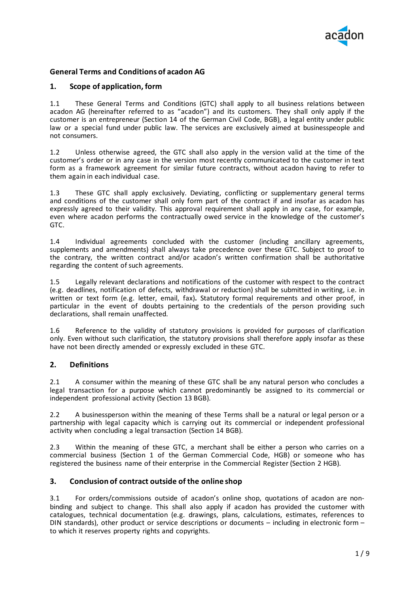

# **General Terms and Conditions of acadon AG**

# **1. Scope of application, form**

1.1 These General Terms and Conditions (GTC) shall apply to all business relations between acadon AG (hereinafter referred to as "acadon") and its customers. They shall only apply if the customer is an entrepreneur (Section 14 of the German Civil Code, BGB), a legal entity under public law or a special fund under public law. The services are exclusively aimed at businesspeople and not consumers.

1.2 Unless otherwise agreed, the GTC shall also apply in the version valid at the time of the customer's order or in any case in the version most recently communicated to the customer in text form as a framework agreement for similar future contracts, without acadon having to refer to them again in each individual case.

1.3 These GTC shall apply exclusively. Deviating, conflicting or supplementary general terms and conditions of the customer shall only form part of the contract if and insofar as acadon has expressly agreed to their validity. This approval requirement shall apply in any case, for example, even where acadon performs the contractually owed service in the knowledge of the customer's GTC.

1.4 Individual agreements concluded with the customer (including ancillary agreements, supplements and amendments) shall always take precedence over these GTC. Subject to proof to the contrary, the written contract and/or acadon's written confirmation shall be authoritative regarding the content of such agreements.

1.5 Legally relevant declarations and notifications of the customer with respect to the contract (e.g. deadlines, notification of defects, withdrawal or reduction) shall be submitted in writing, i.e. in written or text form (e.g. letter, email, fax)**.** Statutory formal requirements and other proof, in particular in the event of doubts pertaining to the credentials of the person providing such declarations, shall remain unaffected.

1.6 Reference to the validity of statutory provisions is provided for purposes of clarification only. Even without such clarification, the statutory provisions shall therefore apply insofar as these have not been directly amended or expressly excluded in these GTC.

# **2. Definitions**

2.1 A consumer within the meaning of these GTC shall be any natural person who concludes a legal transaction for a purpose which cannot predominantly be assigned to its commercial or independent professional activity (Section 13 BGB).

2.2 A businessperson within the meaning of these Terms shall be a natural or legal person or a partnership with legal capacity which is carrying out its commercial or independent professional activity when concluding a legal transaction (Section 14 BGB).

2.3 Within the meaning of these GTC, a merchant shall be either a person who carries on a commercial business (Section 1 of the German Commercial Code, HGB) or someone who has registered the business name of their enterprise in the Commercial Register (Section 2 HGB).

### **3. Conclusion of contract outside of the online shop**

3.1 For orders/commissions outside of acadon's online shop, quotations of acadon are nonbinding and subject to change. This shall also apply if acadon has provided the customer with catalogues, technical documentation (e.g. drawings, plans, calculations, estimates, references to DIN standards), other product or service descriptions or documents – including in electronic form – to which it reserves property rights and copyrights.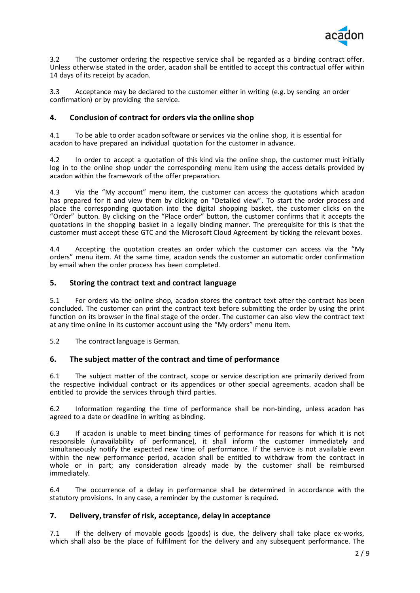

3.2 The customer ordering the respective service shall be regarded as a binding contract offer. Unless otherwise stated in the order, acadon shall be entitled to accept this contractual offer within 14 days of its receipt by acadon.

3.3 Acceptance may be declared to the customer either in writing (e.g. by sending an order confirmation) or by providing the service.

# **4. Conclusion of contract for orders via the online shop**

4.1 To be able to order acadon software or services via the online shop, it is essential for acadon to have prepared an individual quotation for the customer in advance.

4.2 In order to accept a quotation of this kind via the online shop, the customer must initially log in to the online shop under the corresponding menu item using the access details provided by acadon within the framework of the offer preparation.

4.3 Via the "My account" menu item, the customer can access the quotations which acadon has prepared for it and view them by clicking on "Detailed view". To start the order process and place the corresponding quotation into the digital shopping basket, the customer clicks on the "Order" button. By clicking on the "Place order" button, the customer confirms that it accepts the quotations in the shopping basket in a legally binding manner. The prerequisite for this is that the customer must accept these GTC and the Microsoft Cloud Agreement by ticking the relevant boxes.

4.4 Accepting the quotation creates an order which the customer can access via the "My orders" menu item. At the same time, acadon sends the customer an automatic order confirmation by email when the order process has been completed.

# **5. Storing the contract text and contract language**

5.1 For orders via the online shop, acadon stores the contract text after the contract has been concluded. The customer can print the contract text before submitting the order by using the print function on its browser in the final stage of the order. The customer can also view the contract text at any time online in its customer account using the "My orders" menu item.

5.2 The contract language is German.

# **6. The subject matter of the contract and time of performance**

6.1 The subject matter of the contract, scope or service description are primarily derived from the respective individual contract or its appendices or other special agreements. acadon shall be entitled to provide the services through third parties.

6.2 Information regarding the time of performance shall be non-binding, unless acadon has agreed to a date or deadline in writing as binding.

6.3 If acadon is unable to meet binding times of performance for reasons for which it is not responsible (unavailability of performance), it shall inform the customer immediately and simultaneously notify the expected new time of performance. If the service is not available even within the new performance period, acadon shall be entitled to withdraw from the contract in whole or in part; any consideration already made by the customer shall be reimbursed immediately.

6.4 The occurrence of a delay in performance shall be determined in accordance with the statutory provisions. In any case, a reminder by the customer is required.

# **7. Delivery, transfer of risk, acceptance, delay in acceptance**

7.1 If the delivery of movable goods (goods) is due, the delivery shall take place ex-works, which shall also be the place of fulfilment for the delivery and any subsequent performance. The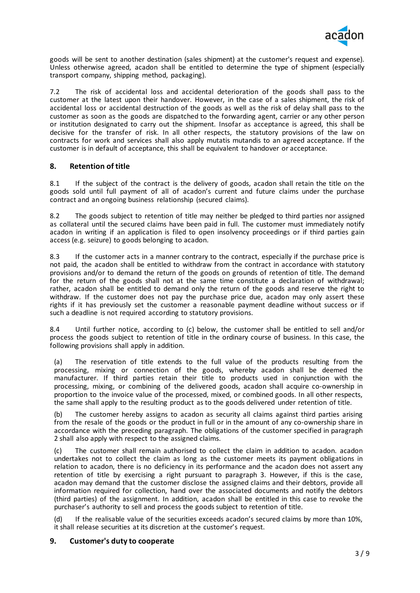

goods will be sent to another destination (sales shipment) at the customer's request and expense). Unless otherwise agreed, acadon shall be entitled to determine the type of shipment (especially transport company, shipping method, packaging).

7.2 The risk of accidental loss and accidental deterioration of the goods shall pass to the customer at the latest upon their handover. However, in the case of a sales shipment, the risk of accidental loss or accidental destruction of the goods as well as the risk of delay shall pass to the customer as soon as the goods are dispatched to the forwarding agent, carrier or any other person or institution designated to carry out the shipment. Insofar as acceptance is agreed, this shall be decisive for the transfer of risk. In all other respects, the statutory provisions of the law on contracts for work and services shall also apply mutatis mutandis to an agreed acceptance. If the customer is in default of acceptance, this shall be equivalent to handover or acceptance.

# **8. Retention of title**

8.1 If the subject of the contract is the delivery of goods, acadon shall retain the title on the goods sold until full payment of all of acadon's current and future claims under the purchase contract and an ongoing business relationship (secured claims).

8.2 The goods subject to retention of title may neither be pledged to third parties nor assigned as collateral until the secured claims have been paid in full. The customer must immediately notify acadon in writing if an application is filed to open insolvency proceedings or if third parties gain access (e.g. seizure) to goods belonging to acadon.

8.3 If the customer acts in a manner contrary to the contract, especially if the purchase price is not paid, the acadon shall be entitled to withdraw from the contract in accordance with statutory provisions and/or to demand the return of the goods on grounds of retention of title. The demand for the return of the goods shall not at the same time constitute a declaration of withdrawal; rather, acadon shall be entitled to demand only the return of the goods and reserve the right to withdraw. If the customer does not pay the purchase price due, acadon may only assert these rights if it has previously set the customer a reasonable payment deadline without success or if such a deadline is not required according to statutory provisions.

8.4 Until further notice, according to (c) below, the customer shall be entitled to sell and/or process the goods subject to retention of title in the ordinary course of business. In this case, the following provisions shall apply in addition.

(a) The reservation of title extends to the full value of the products resulting from the processing, mixing or connection of the goods, whereby acadon shall be deemed the manufacturer. If third parties retain their title to products used in conjunction with the processing, mixing, or combining of the delivered goods, acadon shall acquire co-ownership in proportion to the invoice value of the processed, mixed, or combined goods. In all other respects, the same shall apply to the resulting product as to the goods delivered under retention of title.

(b) The customer hereby assigns to acadon as security all claims against third parties arising from the resale of the goods or the product in full or in the amount of any co-ownership share in accordance with the preceding paragraph. The obligations of the customer specified in paragraph 2 shall also apply with respect to the assigned claims.

(c) The customer shall remain authorised to collect the claim in addition to acadon. acadon undertakes not to collect the claim as long as the customer meets its payment obligations in relation to acadon, there is no deficiency in its performance and the acadon does not assert any retention of title by exercising a right pursuant to paragraph 3. However, if this is the case, acadon may demand that the customer disclose the assigned claims and their debtors, provide all information required for collection, hand over the associated documents and notify the debtors (third parties) of the assignment. In addition, acadon shall be entitled in this case to revoke the purchaser's authority to sell and process the goods subject to retention of title.

If the realisable value of the securities exceeds acadon's secured claims by more than 10%, it shall release securities at its discretion at the customer's request.

# **9. Customer's duty to cooperate**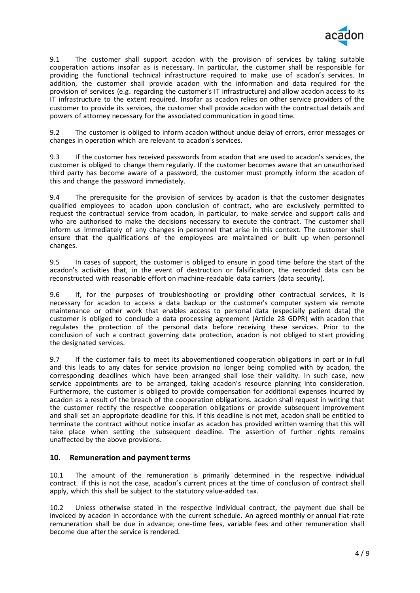

9.1 The customer shall support acadon with the provision of services by taking suitable cooperation actions insofar as is necessary. In particular, the customer shall be responsible for providing the functional technical infrastructure required to make use of acadon's services. In addition, the customer shall provide acadon with the information and data required for the provision of services (e.g. regarding the customer's IT infrastructure) and allow acadon access to its IT infrastructure to the extent required. Insofar as acadon relies on other service providers of the customer to provide its services, the customer shall provide acadon with the contractual details and powers of attorney necessary for the associated communication in good time.

9.2 The customer is obliged to inform acadon without undue delay of errors, error messages or changes in operation which are relevant to acadon's services.

9.3 If the customer has received passwords from acadon that are used to acadon's services, the customer is obliged to change them regularly. If the customer becomes aware that an unauthorised third party has become aware of a password, the customer must promptly inform the acadon of this and change the password immediately.

9.4 The prerequisite for the provision of services by acadon is that the customer designates qualified employees to acadon upon conclusion of contract, who are exclusively permitted to request the contractual service from acadon, in particular, to make service and support calls and who are authorised to make the decisions necessary to execute the contract. The customer shall inform us immediately of any changes in personnel that arise in this context. The customer shall ensure that the qualifications of the employees are maintained or built up when personnel changes.

9.5 In cases of support, the customer is obliged to ensure in good time before the start of the acadon's activities that, in the event of destruction or falsification, the recorded data can be reconstructed with reasonable effort on machine-readable data carriers (data security).

9.6 If, for the purposes of troubleshooting or providing other contractual services, it is necessary for acadon to access a data backup or the customer's computer system via remote maintenance or other work that enables access to personal data (especially patient data) the customer is obliged to conclude a data processing agreement (Article 28 GDPR) with acadon that regulates the protection of the personal data before receiving these services. Prior to the conclusion of such a contract governing data protection, acadon is not obliged to start providing the designated services.

9.7 If the customer fails to meet its abovementioned cooperation obligations in part or in full and this leads to any dates for service provision no longer being complied with by acadon, the corresponding deadlines which have been arranged shall lose their validity. In such case, new service appointments are to be arranged, taking acadon's resource planning into consideration. Furthermore, the customer is obliged to provide compensation for additional expenses incurred by acadon as a result of the breach of the cooperation obligations. acadon shall request in writing that the customer rectify the respective cooperation obligations or provide subsequent improvement and shall set an appropriate deadline for this. If this deadline is not met, acadon shall be entitled to terminate the contract without notice insofar as acadon has provided written warning that this will take place when setting the subsequent deadline. The assertion of further rights remains unaffected by the above provisions.

# **10. Remuneration and payment terms**

10.1 The amount of the remuneration is primarily determined in the respective individual contract. If this is not the case, acadon's current prices at the time of conclusion of contract shall apply, which this shall be subject to the statutory value-added tax.

10.2 Unless otherwise stated in the respective individual contract, the payment due shall be invoiced by acadon in accordance with the current schedule. An agreed monthly or annual flat-rate remuneration shall be due in advance; one-time fees, variable fees and other remuneration shall become due after the service is rendered.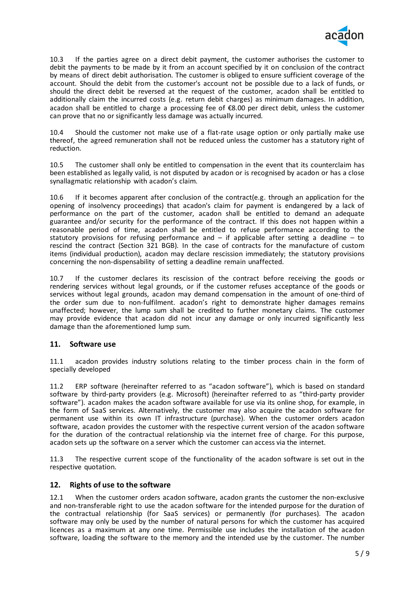

10.3 If the parties agree on a direct debit payment, the customer authorises the customer to debit the payments to be made by it from an account specified by it on conclusion of the contract by means of direct debit authorisation. The customer is obliged to ensure sufficient coverage of the account. Should the debit from the customer's account not be possible due to a lack of funds, or should the direct debit be reversed at the request of the customer, acadon shall be entitled to additionally claim the incurred costs (e.g. return debit charges) as minimum damages. In addition, acadon shall be entitled to charge a processing fee of €8.00 per direct debit, unless the customer can prove that no or significantly less damage was actually incurred.

10.4 Should the customer not make use of a flat-rate usage option or only partially make use thereof, the agreed remuneration shall not be reduced unless the customer has a statutory right of reduction.

10.5 The customer shall only be entitled to compensation in the event that its counterclaim has been established as legally valid, is not disputed by acadon or is recognised by acadon or has a close synallagmatic relationship with acadon's claim.

10.6 If it becomes apparent after conclusion of the contract(e.g. through an application for the opening of insolvency proceedings) that acadon's claim for payment is endangered by a lack of performance on the part of the customer, acadon shall be entitled to demand an adequate guarantee and/or security for the performance of the contract. If this does not happen within a reasonable period of time, acadon shall be entitled to refuse performance according to the statutory provisions for refusing performance and  $-$  if applicable after setting a deadline  $-$  to rescind the contract (Section 321 BGB). In the case of contracts for the manufacture of custom items (individual production), acadon may declare rescission immediately; the statutory provisions concerning the non-dispensability of setting a deadline remain unaffected.

10.7 If the customer declares its rescission of the contract before receiving the goods or rendering services without legal grounds, or if the customer refuses acceptance of the goods or services without legal grounds, acadon may demand compensation in the amount of one-third of the order sum due to non-fulfilment. acadon's right to demonstrate higher damages remains unaffected; however, the lump sum shall be credited to further monetary claims. The customer may provide evidence that acadon did not incur any damage or only incurred significantly less damage than the aforementioned lump sum.

# **11. Software use**

11.1 acadon provides industry solutions relating to the timber process chain in the form of specially developed

11.2 ERP software (hereinafter referred to as "acadon software"), which is based on standard software by third-party providers (e.g. Microsoft) (hereinafter referred to as "third-party provider software"). acadon makes the acadon software available for use via its online shop, for example, in the form of SaaS services. Alternatively, the customer may also acquire the acadon software for permanent use within its own IT infrastructure (purchase). When the customer orders acadon software, acadon provides the customer with the respective current version of the acadon software for the duration of the contractual relationship via the internet free of charge. For this purpose, acadon sets up the software on a server which the customer can access via the internet.

11.3 The respective current scope of the functionality of the acadon software is set out in the respective quotation.

#### **12. Rights of use to the software**

12.1 When the customer orders acadon software, acadon grants the customer the non-exclusive and non-transferable right to use the acadon software for the intended purpose for the duration of the contractual relationship (for SaaS services) or permanently (for purchases). The acadon software may only be used by the number of natural persons for which the customer has acquired licences as a maximum at any one time. Permissible use includes the installation of the acadon software, loading the software to the memory and the intended use by the customer. The number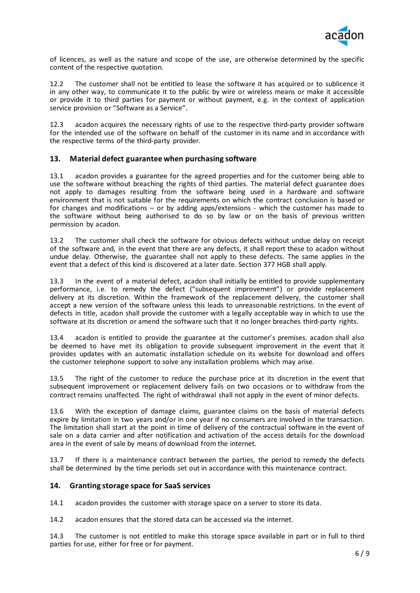

of licences, as well as the nature and scope of the use, are otherwise determined by the specific content of the respective quotation.

12.2 The customer shall not be entitled to lease the software it has acquired or to sublicence it in any other way, to communicate it to the public by wire or wireless means or make it accessible or provide it to third parties for payment or without payment, e.g. in the context of application service provision or "Software as a Service".

12.3 acadon acquires the necessary rights of use to the respective third-party provider software for the intended use of the software on behalf of the customer in its name and in accordance with the respective terms of the third-party provider.

### **13. Material defect guarantee when purchasing software**

13.1 acadon provides a guarantee for the agreed properties and for the customer being able to use the software without breaching the rights of third parties. The material defect guarantee does not apply to damages resulting from the software being used in a hardware and software environment that is not suitable for the requirements on which the contract conclusion is based or for changes and modifications – or by adding apps/extensions - which the customer has made to the software without being authorised to do so by law or on the basis of previous written permission by acadon.

13.2 The customer shall check the software for obvious defects without undue delay on receipt of the software and, in the event that there are any defects, it shall report these to acadon without undue delay. Otherwise, the guarantee shall not apply to these defects. The same applies in the event that a defect of this kind is discovered at a later date. Section 377 HGB shall apply.

13.3 In the event of a material defect, acadon shall initially be entitled to provide supplementary performance, i.e. to remedy the defect ("subsequent improvement") or provide replacement delivery at its discretion. Within the framework of the replacement delivery, the customer shall accept a new version of the software unless this leads to unreasonable restrictions. In the event of defects in title, acadon shall provide the customer with a legally acceptable way in which to use the software at its discretion or amend the software such that it no longer breaches third-party rights.

13.4 acadon is entitled to provide the guarantee at the customer's premises. acadon shall also be deemed to have met its obligation to provide subsequent improvement in the event that it provides updates with an automatic installation schedule on its website for download and offers the customer telephone support to solve any installation problems which may arise.

13.5 The right of the customer to reduce the purchase price at its discretion in the event that subsequent improvement or replacement delivery fails on two occasions or to withdraw from the contract remains unaffected. The right of withdrawal shall not apply in the event of minor defects.

13.6 With the exception of damage claims, guarantee claims on the basis of material defects expire by limitation in two years and/or in one year if no consumers are involved in the transaction. The limitation shall start at the point in time of delivery of the contractual software in the event of sale on a data carrier and after notification and activation of the access details for the download area in the event of sale by means of download from the internet.

13.7 If there is a maintenance contract between the parties, the period to remedy the defects shall be determined by the time periods set out in accordance with this maintenance contract.

#### **14. Granting storage space for SaaS services**

14.1 acadon provides the customer with storage space on a server to store its data.

14.2 acadon ensures that the stored data can be accessed via the internet.

14.3 The customer is not entitled to make this storage space available in part or in full to third parties for use, either for free or for payment.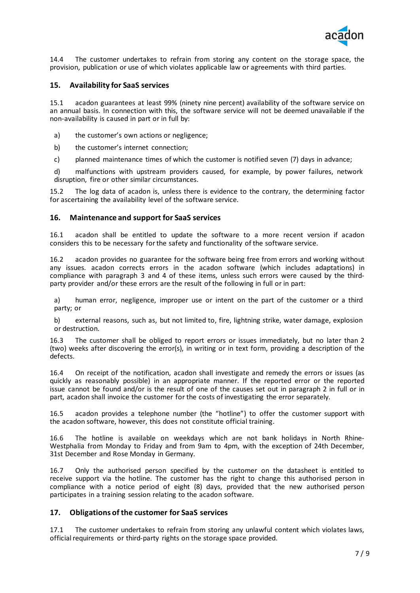

14.4 The customer undertakes to refrain from storing any content on the storage space, the provision, publication or use of which violates applicable law or agreements with third parties.

### **15. Availability for SaaS services**

15.1 acadon guarantees at least 99% (ninety nine percent) availability of the software service on an annual basis. In connection with this, the software service will not be deemed unavailable if the non-availability is caused in part or in full by:

- a) the customer's own actions or negligence;
- b) the customer's internet connection;
- c) planned maintenance times of which the customer is notified seven (7) days in advance;

d) malfunctions with upstream providers caused, for example, by power failures, network disruption, fire or other similar circumstances.

15.2 The log data of acadon is, unless there is evidence to the contrary, the determining factor for ascertaining the availability level of the software service.

#### **16. Maintenance and support for SaaS services**

16.1 acadon shall be entitled to update the software to a more recent version if acadon considers this to be necessary for the safety and functionality of the software service.

16.2 acadon provides no guarantee for the software being free from errors and working without any issues. acadon corrects errors in the acadon software (which includes adaptations) in compliance with paragraph 3 and 4 of these items, unless such errors were caused by the thirdparty provider and/or these errors are the result of the following in full or in part:

a) human error, negligence, improper use or intent on the part of the customer or a third party; or

b) external reasons, such as, but not limited to, fire, lightning strike, water damage, explosion or destruction.

16.3 The customer shall be obliged to report errors or issues immediately, but no later than 2 (two) weeks after discovering the error(s), in writing or in text form, providing a description of the defects.

16.4 On receipt of the notification, acadon shall investigate and remedy the errors or issues (as quickly as reasonably possible) in an appropriate manner. If the reported error or the reported issue cannot be found and/or is the result of one of the causes set out in paragraph 2 in full or in part, acadon shall invoice the customer for the costs of investigating the error separately.

16.5 acadon provides a telephone number (the "hotline") to offer the customer support with the acadon software, however, this does not constitute official training.

16.6 The hotline is available on weekdays which are not bank holidays in North Rhine-Westphalia from Monday to Friday and from 9am to 4pm, with the exception of 24th December, 31st December and Rose Monday in Germany.

16.7 Only the authorised person specified by the customer on the datasheet is entitled to receive support via the hotline. The customer has the right to change this authorised person in compliance with a notice period of eight (8) days, provided that the new authorised person participates in a training session relating to the acadon software.

### **17. Obligations of the customer for SaaS services**

17.1 The customer undertakes to refrain from storing any unlawful content which violates laws, official requirements or third-party rights on the storage space provided.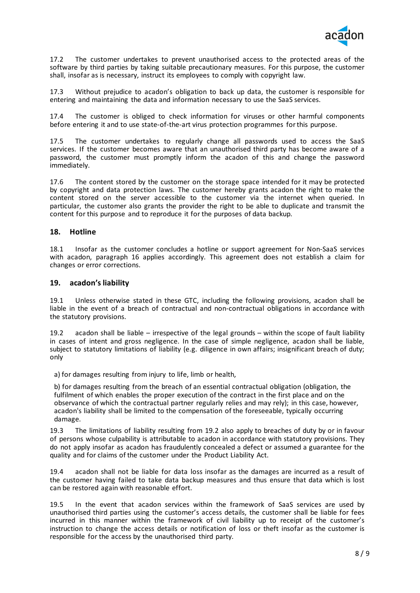

17.2 The customer undertakes to prevent unauthorised access to the protected areas of the software by third parties by taking suitable precautionary measures. For this purpose, the customer shall, insofar as is necessary, instruct its employees to comply with copyright law.

17.3 Without prejudice to acadon's obligation to back up data, the customer is responsible for entering and maintaining the data and information necessary to use the SaaS services.

17.4 The customer is obliged to check information for viruses or other harmful components before entering it and to use state-of-the-art virus protection programmes for this purpose.

17.5 The customer undertakes to regularly change all passwords used to access the SaaS services. If the customer becomes aware that an unauthorised third party has become aware of a password, the customer must promptly inform the acadon of this and change the password immediately.

17.6 The content stored by the customer on the storage space intended for it may be protected by copyright and data protection laws. The customer hereby grants acadon the right to make the content stored on the server accessible to the customer via the internet when queried. In particular, the customer also grants the provider the right to be able to duplicate and transmit the content for this purpose and to reproduce it for the purposes of data backup.

### **18. Hotline**

18.1 Insofar as the customer concludes a hotline or support agreement for Non-SaaS services with acadon, paragraph 16 applies accordingly. This agreement does not establish a claim for changes or error corrections.

### **19. acadon's liability**

19.1 Unless otherwise stated in these GTC, including the following provisions, acadon shall be liable in the event of a breach of contractual and non-contractual obligations in accordance with the statutory provisions.

19.2 acadon shall be liable – irrespective of the legal grounds – within the scope of fault liability in cases of intent and gross negligence. In the case of simple negligence, acadon shall be liable, subject to statutory limitations of liability (e.g. diligence in own affairs; insignificant breach of duty; only

a) for damages resulting from injury to life, limb or health,

b) for damages resulting from the breach of an essential contractual obligation (obligation, the fulfilment of which enables the proper execution of the contract in the first place and on the observance of which the contractual partner regularly relies and may rely); in this case, however, acadon's liability shall be limited to the compensation of the foreseeable, typically occurring damage.

19.3 The limitations of liability resulting from 19.2 also apply to breaches of duty by or in favour of persons whose culpability is attributable to acadon in accordance with statutory provisions. They do not apply insofar as acadon has fraudulently concealed a defect or assumed a guarantee for the quality and for claims of the customer under the Product Liability Act.

19.4 acadon shall not be liable for data loss insofar as the damages are incurred as a result of the customer having failed to take data backup measures and thus ensure that data which is lost can be restored again with reasonable effort.

19.5 In the event that acadon services within the framework of SaaS services are used by unauthorised third parties using the customer's access details, the customer shall be liable for fees incurred in this manner within the framework of civil liability up to receipt of the customer's instruction to change the access details or notification of loss or theft insofar as the customer is responsible for the access by the unauthorised third party.